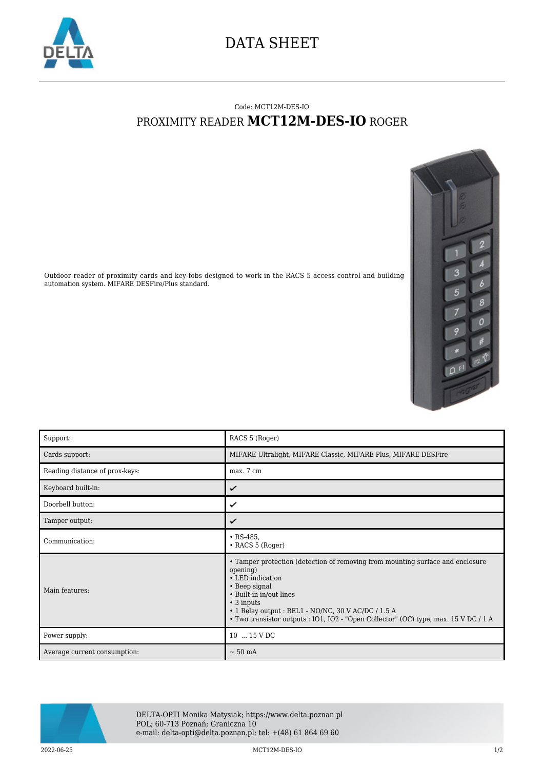

## DATA SHEET

## Code: MCT12M-DES-IO PROXIMITY READER **MCT12M-DES-IO** ROGER



Outdoor reader of proximity cards and key-fobs designed to work in the RACS 5 access control and building automation system. MIFARE DESFire/Plus standard.

| Support:                       | RACS 5 (Roger)                                                                                                                                                                                                                                                                                                                      |
|--------------------------------|-------------------------------------------------------------------------------------------------------------------------------------------------------------------------------------------------------------------------------------------------------------------------------------------------------------------------------------|
| Cards support:                 | MIFARE Ultralight, MIFARE Classic, MIFARE Plus, MIFARE DESFire                                                                                                                                                                                                                                                                      |
| Reading distance of prox-keys: | max. 7 cm                                                                                                                                                                                                                                                                                                                           |
| Keyboard built-in:             | ✓                                                                                                                                                                                                                                                                                                                                   |
| Doorbell button:               | ✓                                                                                                                                                                                                                                                                                                                                   |
| Tamper output:                 | ✓                                                                                                                                                                                                                                                                                                                                   |
| Communication:                 | $\cdot$ RS-485,<br>$\cdot$ RACS 5 (Roger)                                                                                                                                                                                                                                                                                           |
| Main features:                 | • Tamper protection (detection of removing from mounting surface and enclosure<br>opening)<br>• LED indication<br>• Beep signal<br>• Built-in in/out lines<br>$\cdot$ 3 inputs<br>$\cdot$ 1 Relay output : REL1 - NO/NC, 30 V AC/DC / 1.5 A<br>• Two transistor outputs : IO1, IO2 - "Open Collector" (OC) type, max. 15 V DC / 1 A |
| Power supply:                  | 10  15 V DC                                                                                                                                                                                                                                                                                                                         |
| Average current consumption:   | $\sim$ 50 mA                                                                                                                                                                                                                                                                                                                        |



DELTA-OPTI Monika Matysiak; https://www.delta.poznan.pl POL; 60-713 Poznań; Graniczna 10 e-mail: delta-opti@delta.poznan.pl; tel: +(48) 61 864 69 60